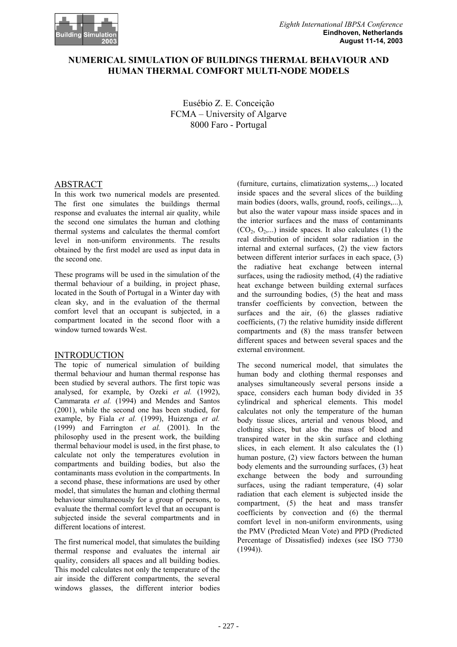

# **NUMERICAL SIMULATION OF BUILDINGS THERMAL BEHAVIOUR AND HUMAN THERMAL COMFORT MULTI-NODE MODELS**

Eusébio Z. E. Conceição FCMA – University of Algarve 8000 Faro - Portugal

# ABSTRACT

In this work two numerical models are presented. The first one simulates the buildings thermal response and evaluates the internal air quality, while the second one simulates the human and clothing thermal systems and calculates the thermal comfort level in non-uniform environments. The results obtained by the first model are used as input data in the second one.

These programs will be used in the simulation of the thermal behaviour of a building, in project phase, located in the South of Portugal in a Winter day with clean sky, and in the evaluation of the thermal comfort level that an occupant is subjected, in a compartment located in the second floor with a window turned towards West.

## INTRODUCTION

The topic of numerical simulation of building thermal behaviour and human thermal response has been studied by several authors. The first topic was analysed, for example, by Ozeki *et al.* (1992), Cammarata *et al.* (1994) and Mendes and Santos (2001), while the second one has been studied, for example, by Fiala *et al.* (1999), Huizenga *et al.* (1999) and Farrington *et al.* (2001). In the philosophy used in the present work, the building thermal behaviour model is used, in the first phase, to calculate not only the temperatures evolution in compartments and building bodies, but also the contaminants mass evolution in the compartments. In a second phase, these informations are used by other model, that simulates the human and clothing thermal behaviour simultaneously for a group of persons, to evaluate the thermal comfort level that an occupant is subjected inside the several compartments and in different locations of interest.

The first numerical model, that simulates the building thermal response and evaluates the internal air quality, considers all spaces and all building bodies. This model calculates not only the temperature of the air inside the different compartments, the several windows glasses, the different interior bodies

(furniture, curtains, climatization systems,...) located inside spaces and the several slices of the building main bodies (doors, walls, ground, roofs, ceilings,...), but also the water vapour mass inside spaces and in the interior surfaces and the mass of contaminants  $(CO_2, O_2,...)$  inside spaces. It also calculates (1) the real distribution of incident solar radiation in the internal and external surfaces, (2) the view factors between different interior surfaces in each space, (3) the radiative heat exchange between internal surfaces, using the radiosity method, (4) the radiative heat exchange between building external surfaces and the surrounding bodies, (5) the heat and mass transfer coefficients by convection, between the surfaces and the air, (6) the glasses radiative coefficients, (7) the relative humidity inside different compartments and (8) the mass transfer between different spaces and between several spaces and the external environment.

The second numerical model, that simulates the human body and clothing thermal responses and analyses simultaneously several persons inside a space, considers each human body divided in 35 cylindrical and spherical elements. This model calculates not only the temperature of the human body tissue slices, arterial and venous blood, and clothing slices, but also the mass of blood and transpired water in the skin surface and clothing slices, in each element. It also calculates the (1) human posture, (2) view factors between the human body elements and the surrounding surfaces, (3) heat exchange between the body and surrounding surfaces, using the radiant temperature, (4) solar radiation that each element is subjected inside the compartment, (5) the heat and mass transfer coefficients by convection and (6) the thermal comfort level in non-uniform environments, using the PMV (Predicted Mean Vote) and PPD (Predicted Percentage of Dissatisfied) indexes (see ISO 7730  $(1994)$ ).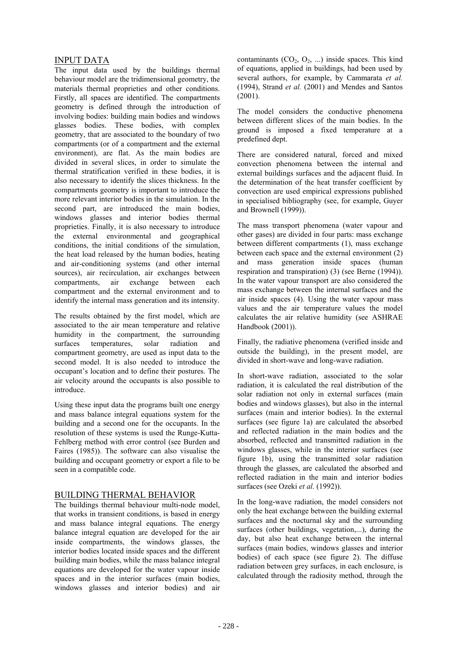## INPUT DATA

The input data used by the buildings thermal behaviour model are the tridimensional geometry, the materials thermal proprieties and other conditions. Firstly, all spaces are identified. The compartments geometry is defined through the introduction of involving bodies: building main bodies and windows glasses bodies. These bodies, with complex geometry, that are associated to the boundary of two compartments (or of a compartment and the external environment), are flat. As the main bodies are divided in several slices, in order to simulate the thermal stratification verified in these bodies, it is also necessary to identify the slices thickness. In the compartments geometry is important to introduce the more relevant interior bodies in the simulation. In the second part, are introduced the main bodies, windows glasses and interior bodies thermal proprieties. Finally, it is also necessary to introduce the external environmental and geographical conditions, the initial conditions of the simulation, the heat load released by the human bodies, heating and air-conditioning systems (and other internal sources), air recirculation, air exchanges between compartments, air exchange between each compartment and the external environment and to identify the internal mass generation and its intensity.

The results obtained by the first model, which are associated to the air mean temperature and relative humidity in the compartment, the surrounding surfaces temperatures, solar radiation and compartment geometry, are used as input data to the second model. It is also needed to introduce the occupant's location and to define their postures. The air velocity around the occupants is also possible to introduce.

Using these input data the programs built one energy and mass balance integral equations system for the building and a second one for the occupants. In the resolution of these systems is used the Runge-Kutta-Fehlberg method with error control (see Burden and Faires (1985)). The software can also visualise the building and occupant geometry or export a file to be seen in a compatible code.

## BUILDING THERMAL BEHAVIOR

The buildings thermal behaviour multi-node model, that works in transient conditions, is based in energy and mass balance integral equations. The energy balance integral equation are developed for the air inside compartments, the windows glasses, the interior bodies located inside spaces and the different building main bodies, while the mass balance integral equations are developed for the water vapour inside spaces and in the interior surfaces (main bodies, windows glasses and interior bodies) and air

contaminants  $(CO_2, O_2, ...)$  inside spaces. This kind of equations, applied in buildings, had been used by several authors, for example, by Cammarata *et al.*  (1994), Strand *et al.* (2001) and Mendes and Santos  $(2001)$ .

The model considers the conductive phenomena between different slices of the main bodies. In the ground is imposed a fixed temperature at a predefined dept.

There are considered natural, forced and mixed convection phenomena between the internal and external buildings surfaces and the adjacent fluid. In the determination of the heat transfer coefficient by convection are used empirical expressions published in specialised bibliography (see, for example, Guyer and Brownell (1999)).

The mass transport phenomena (water vapour and other gases) are divided in four parts: mass exchange between different compartments (1), mass exchange between each space and the external environment (2) and mass generation inside spaces (human respiration and transpiration) (3) (see Berne (1994)). In the water vapour transport are also considered the mass exchange between the internal surfaces and the air inside spaces (4). Using the water vapour mass values and the air temperature values the model calculates the air relative humidity (see ASHRAE Handbook (2001)).

Finally, the radiative phenomena (verified inside and outside the building), in the present model, are divided in short-wave and long-wave radiation.

In short-wave radiation, associated to the solar radiation, it is calculated the real distribution of the solar radiation not only in external surfaces (main bodies and windows glasses), but also in the internal surfaces (main and interior bodies). In the external surfaces (see figure 1a) are calculated the absorbed and reflected radiation in the main bodies and the absorbed, reflected and transmitted radiation in the windows glasses, while in the interior surfaces (see figure 1b), using the transmitted solar radiation through the glasses, are calculated the absorbed and reflected radiation in the main and interior bodies surfaces (see Ozeki *et al.* (1992)).

In the long-wave radiation, the model considers not only the heat exchange between the building external surfaces and the nocturnal sky and the surrounding surfaces (other buildings, vegetation,...), during the day, but also heat exchange between the internal surfaces (main bodies, windows glasses and interior bodies) of each space (see figure 2). The diffuse radiation between grey surfaces, in each enclosure, is calculated through the radiosity method, through the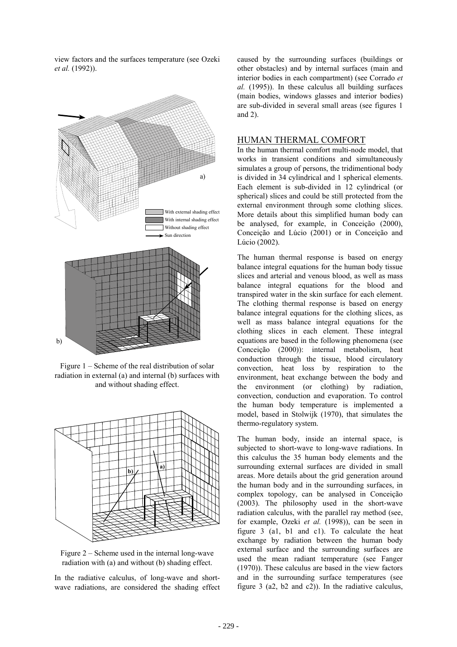view factors and the surfaces temperature (see Ozeki *et al.* (1992)).



Figure 1 – Scheme of the real distribution of solar radiation in external (a) and internal (b) surfaces with and without shading effect.



Figure 2 – Scheme used in the internal long-wave radiation with (a) and without (b) shading effect.

In the radiative calculus, of long-wave and shortwave radiations, are considered the shading effect caused by the surrounding surfaces (buildings or other obstacles) and by internal surfaces (main and interior bodies in each compartment) (see Corrado *et al.* (1995)). In these calculus all building surfaces (main bodies, windows glasses and interior bodies) are sub-divided in several small areas (see figures 1 and 2).

#### HUMAN THERMAL COMFORT

In the human thermal comfort multi-node model, that works in transient conditions and simultaneously simulates a group of persons, the tridimentional body is divided in 34 cylindrical and 1 spherical elements. Each element is sub-divided in 12 cylindrical (or spherical) slices and could be still protected from the external environment through some clothing slices. More details about this simplified human body can be analysed, for example, in Conceição (2000), Conceição and Lúcio (2001) or in Conceição and Lúcio (2002).

The human thermal response is based on energy balance integral equations for the human body tissue slices and arterial and venous blood, as well as mass balance integral equations for the blood and transpired water in the skin surface for each element. The clothing thermal response is based on energy balance integral equations for the clothing slices, as well as mass balance integral equations for the clothing slices in each element. These integral equations are based in the following phenomena (see Conceição (2000)): internal metabolism, heat conduction through the tissue, blood circulatory convection, heat loss by respiration to the environment, heat exchange between the body and the environment (or clothing) by radiation, convection, conduction and evaporation. To control the human body temperature is implemented a model, based in Stolwijk (1970), that simulates the thermo-regulatory system.

The human body, inside an internal space, is subjected to short-wave to long-wave radiations. In this calculus the 35 human body elements and the surrounding external surfaces are divided in small areas. More details about the grid generation around the human body and in the surrounding surfaces, in complex topology, can be analysed in Conceição (2003). The philosophy used in the short-wave radiation calculus, with the parallel ray method (see, for example, Ozeki *et al.* (1998)), can be seen in figure 3 (a1, b1 and c1). To calculate the heat exchange by radiation between the human body external surface and the surrounding surfaces are used the mean radiant temperature (see Fanger (1970)). These calculus are based in the view factors and in the surrounding surface temperatures (see figure 3 (a2, b2 and c2)). In the radiative calculus,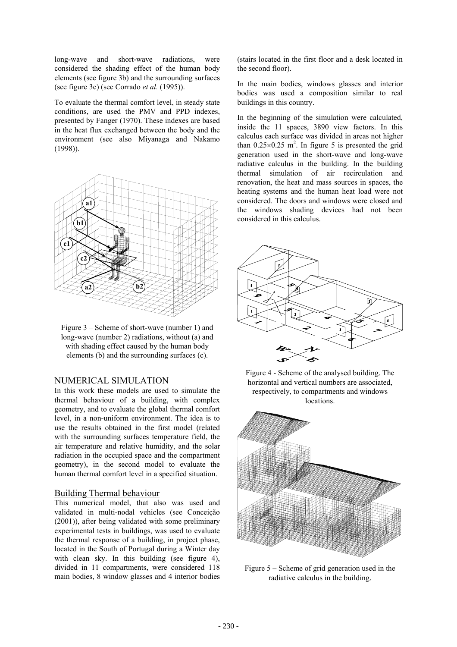long-wave and short-wave radiations, were considered the shading effect of the human body elements (see figure 3b) and the surrounding surfaces (see figure 3c) (see Corrado *et al.* (1995)).

To evaluate the thermal comfort level, in steady state conditions, are used the PMV and PPD indexes, presented by Fanger (1970). These indexes are based in the heat flux exchanged between the body and the environment (see also Miyanaga and Nakamo (1998)).



Figure 3 – Scheme of short-wave (number 1) and long-wave (number 2) radiations, without (a) and with shading effect caused by the human body elements (b) and the surrounding surfaces (c).

#### NUMERICAL SIMULATION

In this work these models are used to simulate the thermal behaviour of a building, with complex geometry, and to evaluate the global thermal comfort level, in a non-uniform environment. The idea is to use the results obtained in the first model (related with the surrounding surfaces temperature field, the air temperature and relative humidity, and the solar radiation in the occupied space and the compartment geometry), in the second model to evaluate the human thermal comfort level in a specified situation.

#### Building Thermal behaviour

This numerical model, that also was used and validated in multi-nodal vehicles (see Conceição (2001)), after being validated with some preliminary experimental tests in buildings, was used to evaluate the thermal response of a building, in project phase, located in the South of Portugal during a Winter day with clean sky. In this building (see figure 4), divided in 11 compartments, were considered 118 main bodies, 8 window glasses and 4 interior bodies

(stairs located in the first floor and a desk located in the second floor).

In the main bodies, windows glasses and interior bodies was used a composition similar to real buildings in this country.

In the beginning of the simulation were calculated, inside the 11 spaces, 3890 view factors. In this calculus each surface was divided in areas not higher than  $0.25 \times 0.25$  m<sup>2</sup>. In figure 5 is presented the grid generation used in the short-wave and long-wave radiative calculus in the building. In the building thermal simulation of air recirculation and renovation, the heat and mass sources in spaces, the heating systems and the human heat load were not considered. The doors and windows were closed and the windows shading devices had not been considered in this calculus.







Figure 5 – Scheme of grid generation used in the radiative calculus in the building.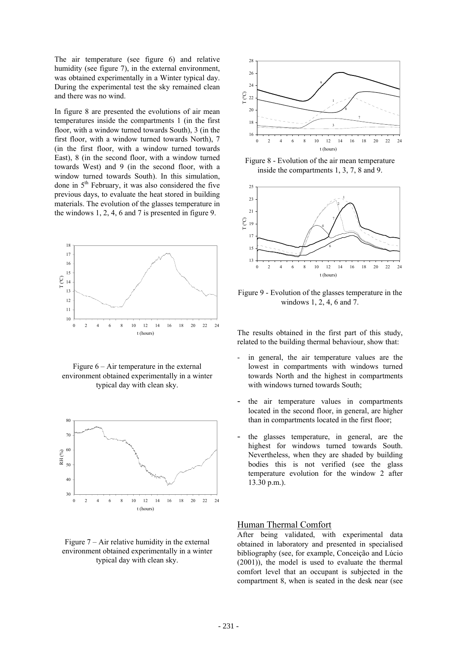The air temperature (see figure 6) and relative humidity (see figure 7), in the external environment, was obtained experimentally in a Winter typical day. During the experimental test the sky remained clean and there was no wind.

In figure 8 are presented the evolutions of air mean temperatures inside the compartments 1 (in the first floor, with a window turned towards South), 3 (in the first floor, with a window turned towards North), 7 (in the first floor, with a window turned towards East), 8 (in the second floor, with a window turned towards West) and 9 (in the second floor, with a window turned towards South). In this simulation, done in  $5<sup>th</sup>$  February, it was also considered the five previous days, to evaluate the heat stored in building materials. The evolution of the glasses temperature in the windows 1, 2, 4, 6 and 7 is presented in figure 9.



Figure 6 – Air temperature in the external environment obtained experimentally in a winter typical day with clean sky.







Figure 8 - Evolution of the air mean temperature inside the compartments 1, 3, 7, 8 and 9.



Figure 9 - Evolution of the glasses temperature in the windows 1, 2, 4, 6 and 7.

The results obtained in the first part of this study, related to the building thermal behaviour, show that:

- in general, the air temperature values are the lowest in compartments with windows turned towards North and the highest in compartments with windows turned towards South;
- the air temperature values in compartments located in the second floor, in general, are higher than in compartments located in the first floor;
- the glasses temperature, in general, are the highest for windows turned towards South. Nevertheless, when they are shaded by building bodies this is not verified (see the glass temperature evolution for the window 2 after 13.30 p.m.).

### Human Thermal Comfort

After being validated, with experimental data obtained in laboratory and presented in specialised bibliography (see, for example, Conceição and Lúcio (2001)), the model is used to evaluate the thermal comfort level that an occupant is subjected in the compartment 8, when is seated in the desk near (see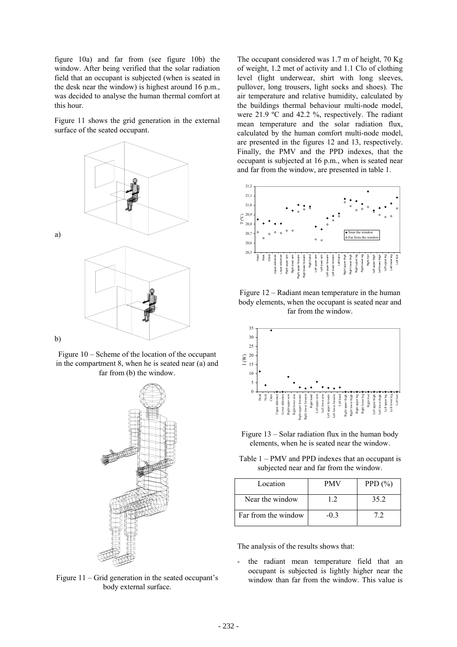figure 10a) and far from (see figure 10b) the window. After being verified that the solar radiation field that an occupant is subjected (when is seated in the desk near the window) is highest around 16 p.m., was decided to analyse the human thermal comfort at this hour.

Figure 11 shows the grid generation in the external surface of the seated occupant.



Figure 10 – Scheme of the location of the occupant in the compartment 8, when he is seated near (a) and far from (b) the window.



body external surface.

The occupant considered was 1.7 m of height, 70 Kg of weight, 1.2 met of activity and 1.1 Clo of clothing level (light underwear, shirt with long sleeves, pullover, long trousers, light socks and shoes). The air temperature and relative humidity, calculated by the buildings thermal behaviour multi-node model, were 21.9 ºC and 42.2 %, respectively. The radiant mean temperature and the solar radiation flux, calculated by the human comfort multi-node model, are presented in the figures 12 and 13, respectively. Finally, the PMV and the PPD indexes, that the occupant is subjected at 16 p.m., when is seated near and far from the window, are presented in table 1.



Figure 12 – Radiant mean temperature in the human body elements, when the occupant is seated near and far from the window.



Figure 13 – Solar radiation flux in the human body elements, when he is seated near the window.

Table 1 – PMV and PPD indexes that an occupant is subjected near and far from the window.

| Location            | <b>PMV</b> | PPD $(\% )$ |
|---------------------|------------|-------------|
| Near the window     | 12         | 35.2        |
| Far from the window | $-0.3$     |             |

The analysis of the results shows that:

the radiant mean temperature field that an occupant is subjected is lightly higher near the Figure 11 – Grid generation in the seated occupant's window than far from the window. This value is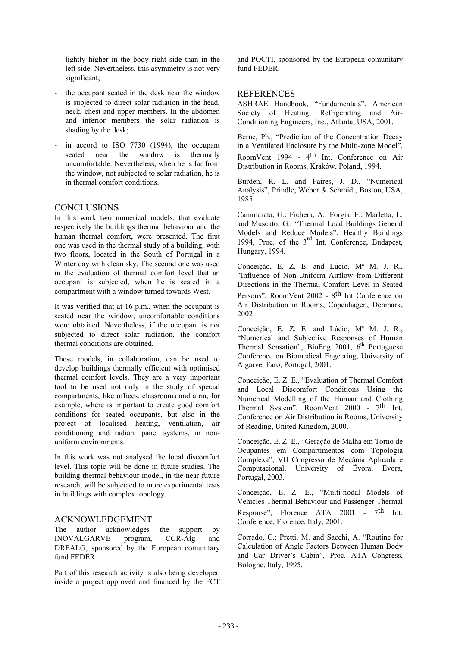lightly higher in the body right side than in the left side. Nevertheless, this asymmetry is not very significant;

- the occupant seated in the desk near the window is subjected to direct solar radiation in the head, neck, chest and upper members. In the abdomen and inferior members the solar radiation is shading by the desk;
- in accord to ISO 7730 (1994), the occupant seated near the window is thermally uncomfortable. Nevertheless, when he is far from the window, not subjected to solar radiation, he is in thermal comfort conditions.

## CONCLUSIONS

In this work two numerical models, that evaluate respectively the buildings thermal behaviour and the human thermal comfort, were presented. The first one was used in the thermal study of a building, with two floors, located in the South of Portugal in a Winter day with clean sky. The second one was used in the evaluation of thermal comfort level that an occupant is subjected, when he is seated in a compartment with a window turned towards West.

It was verified that at 16 p.m., when the occupant is seated near the window, uncomfortable conditions were obtained. Nevertheless, if the occupant is not subjected to direct solar radiation, the comfort thermal conditions are obtained.

These models, in collaboration, can be used to develop buildings thermally efficient with optimised thermal comfort levels. They are a very important tool to be used not only in the study of special compartments, like offices, classrooms and atria, for example, where is important to create good comfort conditions for seated occupants, but also in the project of localised heating, ventilation, air conditioning and radiant panel systems, in nonuniform environments.

In this work was not analysed the local discomfort level. This topic will be done in future studies. The building thermal behaviour model, in the near future research, will be subjected to more experimental tests in buildings with complex topology.

#### ACKNOWLEDGEMENT

The author acknowledges the support by INOVALGARVE program, CCR-Alg and DREALG, sponsored by the European comunitary fund FEDER.

Part of this research activity is also being developed inside a project approved and financed by the FCT

and POCTI, sponsored by the European comunitary fund FEDER.

### **REFERENCES**

ASHRAE Handbook, "Fundamentals", American Society of Heating, Refrigerating and Air-Conditioning Engineers, Inc., Atlanta, USA, 2001.

Berne, Ph., "Prediction of the Concentration Decay in a Ventilated Enclosure by the Multi-zone Model", RoomVent 1994 - 4<sup>th</sup> Int. Conference on Air Distribution in Rooms, Kraków, Poland, 1994.

Burden, R. L. and Faires, J. D., "Numerical Analysis", Prindle, Weber & Schmidt, Boston, USA, 1985.

Cammarata, G.; Fichera, A.; Forgia. F.; Marletta, L. and Muscato, G., "Thermal Load Buildings General Models and Reduce Models", Healthy Buildings 1994, Proc. of the 3<sup>rd</sup> Int. Conference, Budapest, Hungary, 1994.

Conceição, E. Z. E. and Lúcio, Mª M. J. R., "Influence of Non-Uniform Airflow from Different Directions in the Thermal Comfort Level in Seated Persons", RoomVent 2002 - 8<sup>th</sup> Int Conference on Air Distribution in Rooms, Copenhagen, Denmark, 2002

Conceição, E. Z. E. and Lúcio, Mª M. J. R., "Numerical and Subjective Responses of Human Thermal Sensation", BioEng  $2001$ ,  $6<sup>th</sup>$  Portuguese Conference on Biomedical Engeering, University of Algarve, Faro, Portugal, 2001.

Conceição, E. Z. E., "Evaluation of Thermal Comfort and Local Discomfort Conditions Using the Numerical Modelling of the Human and Clothing Thermal System", RoomVent 2000 - 7<sup>th</sup> Int. Conference on Air Distribution in Rooms, University of Reading, United Kingdom, 2000.

Conceição, E. Z. E., "Geração de Malha em Torno de Ocupantes em Compartimentos com Topologia Complexa", VII Congresso de Mecânia Aplicada e Computacional, University of Évora, Évora, Portugal, 2003.

Conceição, E. Z. E., "Multi-nodal Models of Vehicles Thermal Behaviour and Passenger Thermal Response", Florence ATA 2001 -  $7<sup>th</sup>$  Int. Conference, Florence, Italy, 2001.

Corrado, C.; Pretti, M. and Sacchi, A. "Routine for Calculation of Angle Factors Between Human Body and Car Driver's Cabin", Proc. ATA Congress, Bologne, Italy, 1995.